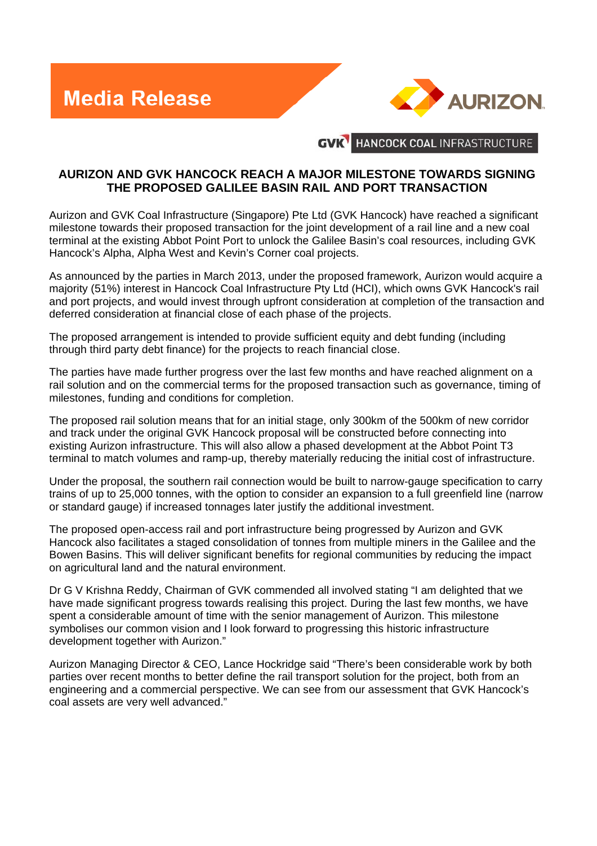**Media Release** 



HANCOCK COAL INFRASTRUCTURE **GVK** 

## **AURIZON AND GVK HANCOCK REACH A MAJOR MILESTONE TOWARDS SIGNING THE PROPOSED GALILEE BASIN RAIL AND PORT TRANSACTION**

Aurizon and GVK Coal Infrastructure (Singapore) Pte Ltd (GVK Hancock) have reached a significant milestone towards their proposed transaction for the joint development of a rail line and a new coal terminal at the existing Abbot Point Port to unlock the Galilee Basin's coal resources, including GVK Hancock's Alpha, Alpha West and Kevin's Corner coal projects.

As announced by the parties in March 2013, under the proposed framework, Aurizon would acquire a majority (51%) interest in Hancock Coal Infrastructure Pty Ltd (HCI), which owns GVK Hancock's rail and port projects, and would invest through upfront consideration at completion of the transaction and deferred consideration at financial close of each phase of the projects.

The proposed arrangement is intended to provide sufficient equity and debt funding (including through third party debt finance) for the projects to reach financial close.

The parties have made further progress over the last few months and have reached alignment on a rail solution and on the commercial terms for the proposed transaction such as governance, timing of milestones, funding and conditions for completion.

The proposed rail solution means that for an initial stage, only 300km of the 500km of new corridor and track under the original GVK Hancock proposal will be constructed before connecting into existing Aurizon infrastructure. This will also allow a phased development at the Abbot Point T3 terminal to match volumes and ramp-up, thereby materially reducing the initial cost of infrastructure.

Under the proposal, the southern rail connection would be built to narrow-gauge specification to carry trains of up to 25,000 tonnes, with the option to consider an expansion to a full greenfield line (narrow or standard gauge) if increased tonnages later justify the additional investment.

The proposed open-access rail and port infrastructure being progressed by Aurizon and GVK Hancock also facilitates a staged consolidation of tonnes from multiple miners in the Galilee and the Bowen Basins. This will deliver significant benefits for regional communities by reducing the impact on agricultural land and the natural environment.

Dr G V Krishna Reddy, Chairman of GVK commended all involved stating "I am delighted that we have made significant progress towards realising this project. During the last few months, we have spent a considerable amount of time with the senior management of Aurizon. This milestone symbolises our common vision and I look forward to progressing this historic infrastructure development together with Aurizon."

Aurizon Managing Director & CEO, Lance Hockridge said "There's been considerable work by both parties over recent months to better define the rail transport solution for the project, both from an engineering and a commercial perspective. We can see from our assessment that GVK Hancock's coal assets are very well advanced."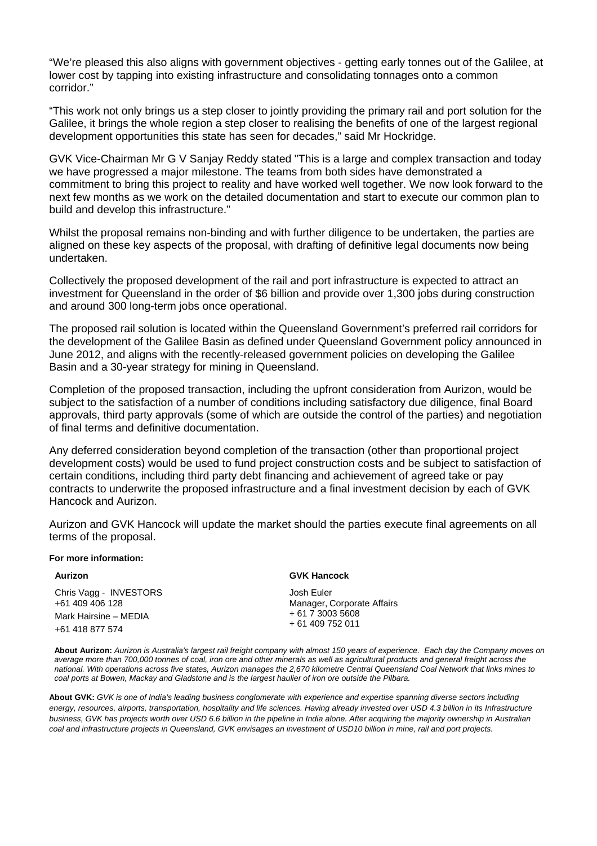"We're pleased this also aligns with government objectives - getting early tonnes out of the Galilee, at lower cost by tapping into existing infrastructure and consolidating tonnages onto a common corridor."

"This work not only brings us a step closer to jointly providing the primary rail and port solution for the Galilee, it brings the whole region a step closer to realising the benefits of one of the largest regional development opportunities this state has seen for decades," said Mr Hockridge.

GVK Vice-Chairman Mr G V Sanjay Reddy stated "This is a large and complex transaction and today we have progressed a major milestone. The teams from both sides have demonstrated a commitment to bring this project to reality and have worked well together. We now look forward to the next few months as we work on the detailed documentation and start to execute our common plan to build and develop this infrastructure."

Whilst the proposal remains non-binding and with further diligence to be undertaken, the parties are aligned on these key aspects of the proposal, with drafting of definitive legal documents now being undertaken.

Collectively the proposed development of the rail and port infrastructure is expected to attract an investment for Queensland in the order of \$6 billion and provide over 1,300 jobs during construction and around 300 long-term jobs once operational.

The proposed rail solution is located within the Queensland Government's preferred rail corridors for the development of the Galilee Basin as defined under Queensland Government policy announced in June 2012, and aligns with the recently-released government policies on developing the Galilee Basin and a 30-year strategy for mining in Queensland.

Completion of the proposed transaction, including the upfront consideration from Aurizon, would be subject to the satisfaction of a number of conditions including satisfactory due diligence, final Board approvals, third party approvals (some of which are outside the control of the parties) and negotiation of final terms and definitive documentation.

Any deferred consideration beyond completion of the transaction (other than proportional project development costs) would be used to fund project construction costs and be subject to satisfaction of certain conditions, including third party debt financing and achievement of agreed take or pay contracts to underwrite the proposed infrastructure and a final investment decision by each of GVK Hancock and Aurizon.

Aurizon and GVK Hancock will update the market should the parties execute final agreements on all terms of the proposal.

## **For more information:**

Chris Vagg - INVESTORS +61 409 406 128 Mark Hairsine – MEDIA +61 418 877 574

## **Aurizon GVK Hancock**

Josh Euler Manager, Corporate Affairs + 61 7 3003 5608 + 61 409 752 011

**About Aurizon:** *Aurizon is Australia's largest rail freight company with almost 150 years of experience. Each day the Company moves on average more than 700,000 tonnes of coal, iron ore and other minerals as well as agricultural products and general freight across the national. With operations across five states, Aurizon manages the 2,670 kilometre Central Queensland Coal Network that links mines to coal ports at Bowen, Mackay and Gladstone and is the largest haulier of iron ore outside the Pilbara.* 

**About GVK:** *GVK is one of India's leading business conglomerate with experience and expertise spanning diverse sectors including*  energy, resources, airports, transportation, hospitality and life sciences. Having already invested over USD 4.3 billion in its Infrastructure *business, GVK has projects worth over USD 6.6 billion in the pipeline in India alone. After acquiring the majority ownership in Australian coal and infrastructure projects in Queensland, GVK envisages an investment of USD10 billion in mine, rail and port projects.*